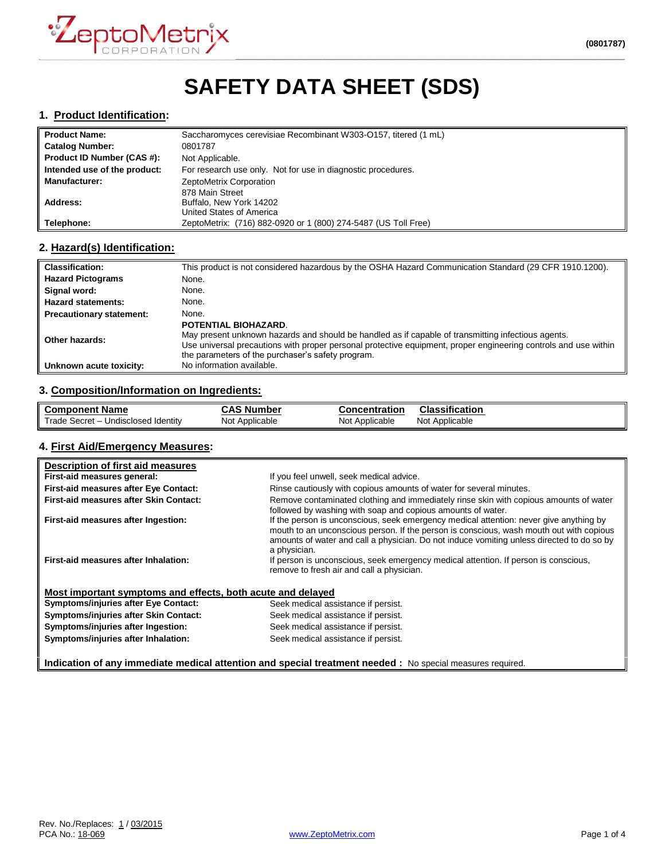

# **SAFETY DATA SHEET (SDS)**

#### **1. Product Identification:**

| <b>Product Name:</b>         | Saccharomyces cerevisiae Recombinant W303-O157, titered (1 mL) |
|------------------------------|----------------------------------------------------------------|
| <b>Catalog Number:</b>       | 0801787                                                        |
| Product ID Number (CAS #):   | Not Applicable.                                                |
| Intended use of the product: | For research use only. Not for use in diagnostic procedures.   |
| <b>Manufacturer:</b>         | ZeptoMetrix Corporation                                        |
|                              | 878 Main Street                                                |
| <b>Address:</b>              | Buffalo, New York 14202                                        |
|                              | United States of America                                       |
| Telephone:                   | ZeptoMetrix: (716) 882-0920 or 1 (800) 274-5487 (US Toll Free) |

## **2. Hazard(s) Identification:**

| <b>Classification:</b>          | This product is not considered hazardous by the OSHA Hazard Communication Standard (29 CFR 1910.1200).                                                                                                                                                                                             |
|---------------------------------|----------------------------------------------------------------------------------------------------------------------------------------------------------------------------------------------------------------------------------------------------------------------------------------------------|
| <b>Hazard Pictograms</b>        | None.                                                                                                                                                                                                                                                                                              |
| Signal word:                    | None.                                                                                                                                                                                                                                                                                              |
| <b>Hazard statements:</b>       | None.                                                                                                                                                                                                                                                                                              |
| <b>Precautionary statement:</b> | None.                                                                                                                                                                                                                                                                                              |
| Other hazards:                  | POTENTIAL BIOHAZARD.<br>May present unknown hazards and should be handled as if capable of transmitting infectious agents.<br>Use universal precautions with proper personal protective equipment, proper engineering controls and use within<br>the parameters of the purchaser's safety program. |
| Unknown acute toxicity:         | No information available.                                                                                                                                                                                                                                                                          |

#### **3. Composition/Information on Ingredients:**

| ll Component Name                   | <b>CAS Number</b> | Concentration  | <b>Classification</b> |
|-------------------------------------|-------------------|----------------|-----------------------|
| Trade Secret - Undisclosed Identity | Not Applicable    | Not Applicable | Not Applicable        |

#### **4. First Aid/Emergency Measures:**

| Description of first aid measures                           |                                                                                                                                                                                                                                                                                                |
|-------------------------------------------------------------|------------------------------------------------------------------------------------------------------------------------------------------------------------------------------------------------------------------------------------------------------------------------------------------------|
| First-aid measures general:                                 | If you feel unwell, seek medical advice.                                                                                                                                                                                                                                                       |
| First-aid measures after Eye Contact:                       | Rinse cautiously with copious amounts of water for several minutes.                                                                                                                                                                                                                            |
| First-aid measures after Skin Contact:                      | Remove contaminated clothing and immediately rinse skin with copious amounts of water<br>followed by washing with soap and copious amounts of water.                                                                                                                                           |
| First-aid measures after Ingestion:                         | If the person is unconscious, seek emergency medical attention: never give anything by<br>mouth to an unconscious person. If the person is conscious, wash mouth out with copious<br>amounts of water and call a physician. Do not induce vomiting unless directed to do so by<br>a physician. |
| First-aid measures after Inhalation:                        | If person is unconscious, seek emergency medical attention. If person is conscious,<br>remove to fresh air and call a physician.                                                                                                                                                               |
| Most important symptoms and effects, both acute and delayed |                                                                                                                                                                                                                                                                                                |
| <b>Symptoms/injuries after Eye Contact:</b>                 | Seek medical assistance if persist.                                                                                                                                                                                                                                                            |
| Symptoms/injuries after Skin Contact:                       | Seek medical assistance if persist.                                                                                                                                                                                                                                                            |
| Symptoms/injuries after Ingestion:                          | Seek medical assistance if persist.                                                                                                                                                                                                                                                            |
| Symptoms/injuries after Inhalation:                         | Seek medical assistance if persist.                                                                                                                                                                                                                                                            |
|                                                             | Indication of any immediate medical attention and special treatment needed : No special measures required.                                                                                                                                                                                     |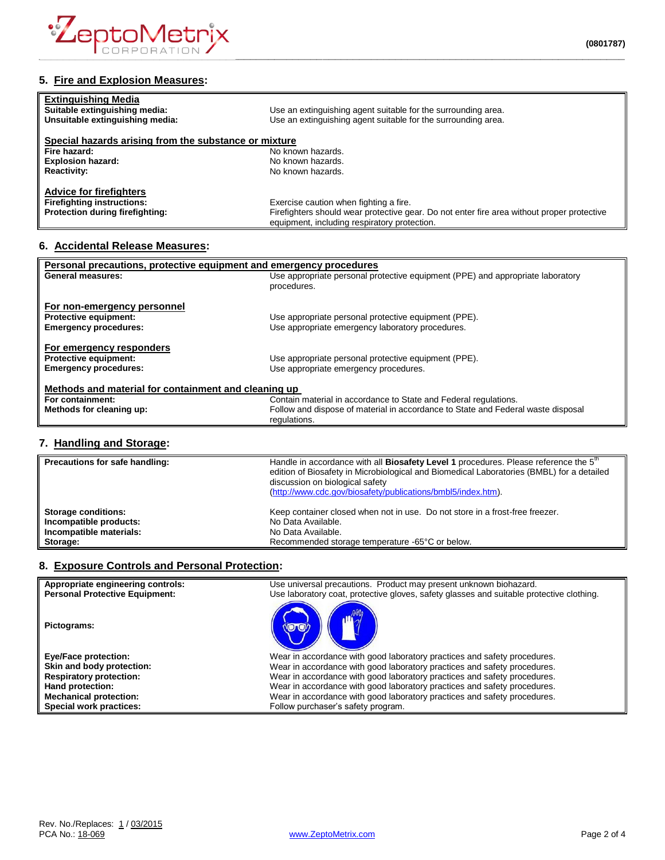

## **5. Fire and Explosion Measures:**

| <b>Extinguishing Media</b><br>Suitable extinguishing media:<br>Unsuitable extinguishing media: | Use an extinguishing agent suitable for the surrounding area.<br>Use an extinguishing agent suitable for the surrounding area. |
|------------------------------------------------------------------------------------------------|--------------------------------------------------------------------------------------------------------------------------------|
| Special hazards arising from the substance or mixture                                          |                                                                                                                                |
| Fire hazard:                                                                                   | No known hazards.                                                                                                              |
| <b>Explosion hazard:</b>                                                                       | No known hazards.                                                                                                              |
| <b>Reactivity:</b>                                                                             | No known hazards.                                                                                                              |
| <b>Advice for firefighters</b>                                                                 |                                                                                                                                |
| <b>Firefighting instructions:</b>                                                              | Exercise caution when fighting a fire.                                                                                         |
| Protection during firefighting:                                                                | Firefighters should wear protective gear. Do not enter fire area without proper protective                                     |
|                                                                                                | equipment, including respiratory protection.                                                                                   |

## **6. Accidental Release Measures:**

| Personal precautions, protective equipment and emergency procedures |                                                                                  |  |
|---------------------------------------------------------------------|----------------------------------------------------------------------------------|--|
| <b>General measures:</b>                                            | Use appropriate personal protective equipment (PPE) and appropriate laboratory   |  |
|                                                                     | procedures.                                                                      |  |
|                                                                     |                                                                                  |  |
| For non-emergency personnel                                         |                                                                                  |  |
| Protective equipment:                                               | Use appropriate personal protective equipment (PPE).                             |  |
| <b>Emergency procedures:</b>                                        | Use appropriate emergency laboratory procedures.                                 |  |
|                                                                     |                                                                                  |  |
| For emergency responders                                            |                                                                                  |  |
| <b>Protective equipment:</b>                                        | Use appropriate personal protective equipment (PPE).                             |  |
| <b>Emergency procedures:</b>                                        | Use appropriate emergency procedures.                                            |  |
|                                                                     |                                                                                  |  |
| Methods and material for containment and cleaning up                |                                                                                  |  |
| For containment:                                                    | Contain material in accordance to State and Federal regulations.                 |  |
| Methods for cleaning up:                                            | Follow and dispose of material in accordance to State and Federal waste disposal |  |
|                                                                     | regulations.                                                                     |  |
|                                                                     |                                                                                  |  |

## **7. Handling and Storage:**

| Precautions for safe handling: | Handle in accordance with all Biosafety Level 1 procedures. Please reference the 5 <sup>th</sup><br>edition of Biosafety in Microbiological and Biomedical Laboratories (BMBL) for a detailed<br>discussion on biological safety<br>(http://www.cdc.gov/biosafety/publications/bmbl5/index.htm). |
|--------------------------------|--------------------------------------------------------------------------------------------------------------------------------------------------------------------------------------------------------------------------------------------------------------------------------------------------|
| <b>Storage conditions:</b>     | Keep container closed when not in use. Do not store in a frost-free freezer.                                                                                                                                                                                                                     |
| Incompatible products:         | No Data Available.                                                                                                                                                                                                                                                                               |
| Incompatible materials:        | No Data Available.                                                                                                                                                                                                                                                                               |
| Storage:                       | Recommended storage temperature -65°C or below.                                                                                                                                                                                                                                                  |

## **8. Exposure Controls and Personal Protection:**

| Appropriate engineering controls:     | Use universal precautions. Product may present unknown biohazard.                        |
|---------------------------------------|------------------------------------------------------------------------------------------|
| <b>Personal Protective Equipment:</b> | Use laboratory coat, protective gloves, safety glasses and suitable protective clothing. |
| Pictograms:                           |                                                                                          |
| <b>Eye/Face protection:</b>           | Wear in accordance with good laboratory practices and safety procedures.                 |
| Skin and body protection:             | Wear in accordance with good laboratory practices and safety procedures.                 |
| <b>Respiratory protection:</b>        | Wear in accordance with good laboratory practices and safety procedures.                 |
| Hand protection:                      | Wear in accordance with good laboratory practices and safety procedures.                 |
| <b>Mechanical protection:</b>         | Wear in accordance with good laboratory practices and safety procedures.                 |
| Special work practices:               | Follow purchaser's safety program.                                                       |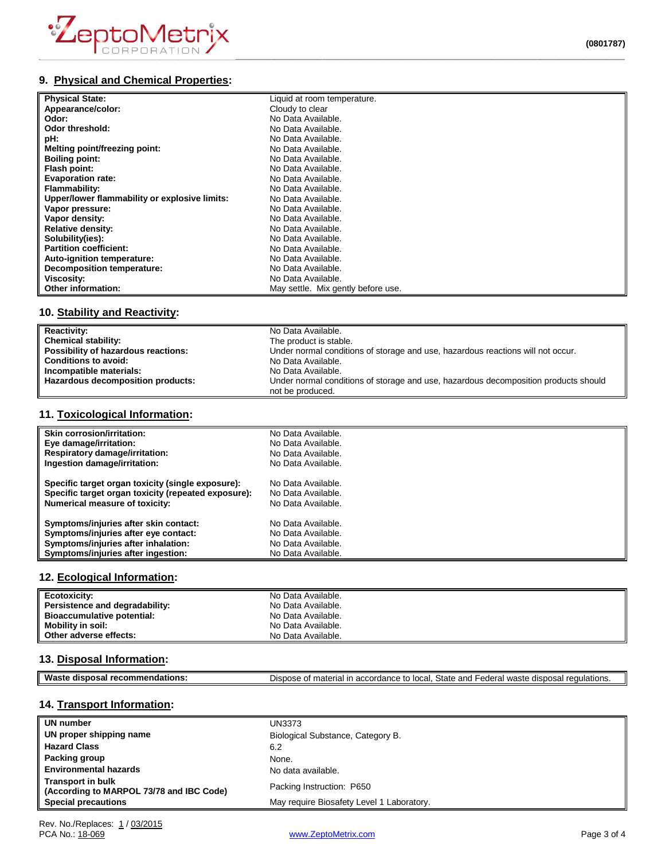

# **9. Physical and Chemical Properties:**

| <b>Physical State:</b>                        | Liquid at room temperature.        |
|-----------------------------------------------|------------------------------------|
| Appearance/color:                             | Cloudy to clear                    |
| Odor:                                         | No Data Available.                 |
| Odor threshold:                               | No Data Available.                 |
| pH:                                           | No Data Available.                 |
| Melting point/freezing point:                 | No Data Available.                 |
| <b>Boiling point:</b>                         | No Data Available.                 |
| Flash point:                                  | No Data Available.                 |
| <b>Evaporation rate:</b>                      | No Data Available.                 |
| Flammability:                                 | No Data Available.                 |
| Upper/lower flammability or explosive limits: | No Data Available.                 |
| Vapor pressure:                               | No Data Available.                 |
| Vapor density:                                | No Data Available.                 |
| <b>Relative density:</b>                      | No Data Available.                 |
| Solubility(ies):                              | No Data Available.                 |
| <b>Partition coefficient:</b>                 | No Data Available.                 |
| Auto-ignition temperature:                    | No Data Available.                 |
| Decomposition temperature:                    | No Data Available.                 |
| Viscosity:                                    | No Data Available.                 |
| Other information:                            | May settle. Mix gently before use. |

# **10. Stability and Reactivity:**

| <b>Reactivity:</b>                  | No Data Available.                                                                  |
|-------------------------------------|-------------------------------------------------------------------------------------|
| <b>Chemical stability:</b>          | The product is stable.                                                              |
| Possibility of hazardous reactions: | Under normal conditions of storage and use, hazardous reactions will not occur.     |
| <b>Conditions to avoid:</b>         | No Data Available.                                                                  |
| Incompatible materials:             | No Data Available.                                                                  |
| Hazardous decomposition products:   | Under normal conditions of storage and use, hazardous decomposition products should |
|                                     | not be produced.                                                                    |

## **11. Toxicological Information:**

| Skin corrosion/irritation:                          | No Data Available. |
|-----------------------------------------------------|--------------------|
| Eye damage/irritation:                              | No Data Available. |
| <b>Respiratory damage/irritation:</b>               | No Data Available. |
| Ingestion damage/irritation:                        | No Data Available. |
| Specific target organ toxicity (single exposure):   | No Data Available. |
| Specific target organ toxicity (repeated exposure): | No Data Available. |
| Numerical measure of toxicity:                      | No Data Available. |
| Symptoms/injuries after skin contact:               | No Data Available. |
| Symptoms/injuries after eye contact:                | No Data Available. |
| Symptoms/injuries after inhalation:                 | No Data Available. |
| Symptoms/injuries after ingestion:                  | No Data Available. |

## **12. Ecological Information:**

| Ecotoxicity:                      | No Data Available. |
|-----------------------------------|--------------------|
| Persistence and degradability:    | No Data Available. |
| <b>Bioaccumulative potential:</b> | No Data Available. |
| Mobility in soil:                 | No Data Available. |
| Other adverse effects:            | No Data Available. |

#### **13. Disposal Information:**

| Was<br>disi<br>nosai<br>ndations.<br>om | State<br>$\overline{a}$<br>local<br>$\sim$<br>and<br>---<br>$\cdot$<br>$11100 + 4$<br>dier<br>$\sum$<br>ır<br>ederal<br>…ordan∩<br>патепа.<br>euulations.<br>15 I.L<br>ы.<br>uw<br>. |
|-----------------------------------------|--------------------------------------------------------------------------------------------------------------------------------------------------------------------------------------|
|                                         |                                                                                                                                                                                      |

# **14. Transport Information:**

| UN number                                                            | UN3373                                    |
|----------------------------------------------------------------------|-------------------------------------------|
| UN proper shipping name                                              | Biological Substance, Category B.         |
| <b>Hazard Class</b>                                                  | 6.2                                       |
| Packing group                                                        | None.                                     |
| <b>Environmental hazards</b>                                         | No data available.                        |
| <b>Transport in bulk</b><br>(According to MARPOL 73/78 and IBC Code) | Packing Instruction: P650                 |
| <b>Special precautions</b>                                           | May require Biosafety Level 1 Laboratory. |